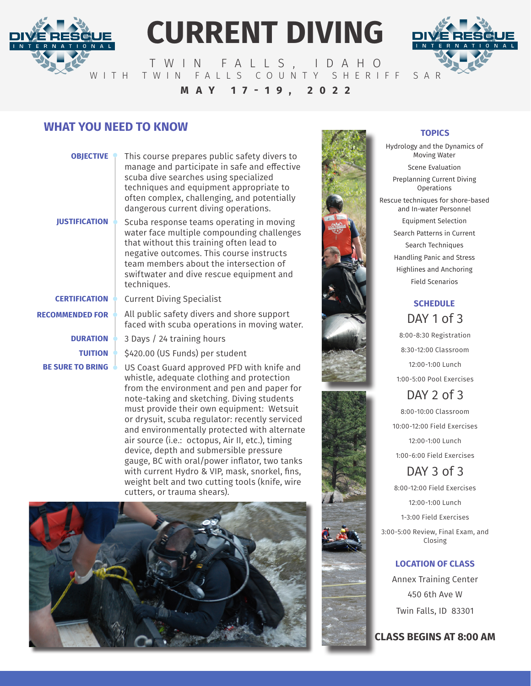

# **CURRENT DIVING**



TWIN FALLS, IDAHO WITH TWIN FALLS COUNTY SHERIFF SAR **MAY 17-19, 2022**

# **WHAT YOU NEED TO KNOW <b>TOPICS** TOPICS

| <b>OBJECTIVE</b>     | This course prepares public safety divers to<br>manage and participate in safe and effective<br>scuba dive searches using specialized<br>techniques and equipment appropriate to<br>often complex, challenging, and potentially<br>dangerous current diving operations. |
|----------------------|-------------------------------------------------------------------------------------------------------------------------------------------------------------------------------------------------------------------------------------------------------------------------|
| <b>JUSTIFICATION</b> | Scuba response teams operating in moving                                                                                                                                                                                                                                |

Scuba response teams operating in moving water face multiple compounding challenges that without this training often lead to negative outcomes. This course instructs team members about the intersection of swiftwater and dive rescue equipment and techniques.

**DURATION CERTIFICATION BE SURE TO BRING TUITION RECOMMENDED FOR**

Current Diving Specialist

All public safety divers and shore support faced with scuba operations in moving water.

3 Days / 24 training hours

\$420.00 (US Funds) per student

US Coast Guard approved PFD with knife and whistle, adequate clothing and protection from the environment and pen and paper for note-taking and sketching. Diving students must provide their own equipment: Wetsuit or drysuit, scuba regulator: recently serviced and environmentally protected with alternate air source (i.e.: octopus, Air II, etc.), timing device, depth and submersible pressure gauge, BC with oral/power inflator, two tanks with current Hydro & VIP, mask, snorkel, fins, weight belt and two cutting tools (knife, wire cutters, or trauma shears).





Hydrology and the Dynamics of Moving Water Scene Evaluation Preplanning Current Diving Operations Rescue techniques for shore-based and In-water Personnel Equipment Selection Search Patterns in Current Search Techniques Handling Panic and Stress Highlines and Anchoring Field Scenarios

### **SCHEDULE** DAY 1 of 3

8:00-8:30 Registration 8:30-12:00 Classroom 12:00-1:00 Lunch 1:00-5:00 Pool Exercises

DAY 2 of 3 8:00-10:00 Classroom 10:00-12:00 Field Exercises 12:00-1:00 Lunch 1:00-6:00 Field Exercises

## DAY 3 of 3

8:00-12:00 Field Exercises 12:00-1:00 Lunch 1-3:00 Field Exercises

3:00-5:00 Review, Final Exam, and Closing

#### **LOCATION OF CLASS**

Annex Training Center 450 6th Ave W Twin Falls, ID 83301

**CLASS BEGINS AT 8:00 AM**